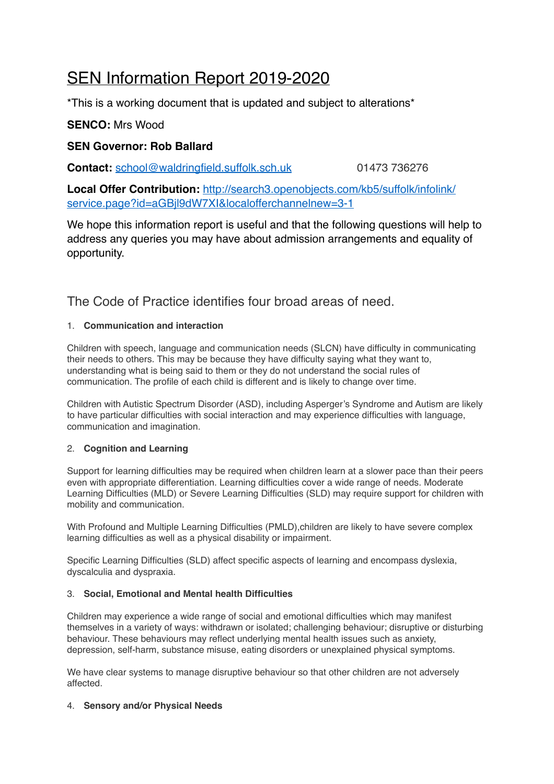# SEN Information Report 2019-2020

\*This is a working document that is updated and subject to alterations\*

# **SENCO:** Mrs Wood

## **SEN Governor: Rob Ballard**

**Contact:** [school@waldringfield.suffolk.sch.uk](mailto:school@waldringfield.suffolk.sch.uk) 01473 736276

**Local Offer Contribution:** [http://search3.openobjects.com/kb5/suffolk/infolink/](http://search3.openobjects.com/kb5/suffolk/infolink/service.page?id=aGBjl9dW7XI&localofferchannelnew=3-1) [service.page?id=aGBjl9dW7XI&localofferchannelnew=3-1](http://search3.openobjects.com/kb5/suffolk/infolink/service.page?id=aGBjl9dW7XI&localofferchannelnew=3-1)

We hope this information report is useful and that the following questions will help to address any queries you may have about admission arrangements and equality of opportunity.

The Code of Practice identifies four broad areas of need.

#### 1. **Communication and interaction**

Children with speech, language and communication needs (SLCN) have difficulty in communicating their needs to others. This may be because they have difficulty saying what they want to, understanding what is being said to them or they do not understand the social rules of communication. The profile of each child is different and is likely to change over time.

Children with Autistic Spectrum Disorder (ASD), including Asperger's Syndrome and Autism are likely to have particular difficulties with social interaction and may experience difficulties with language, communication and imagination.

#### 2. **Cognition and Learning**

Support for learning difficulties may be required when children learn at a slower pace than their peers even with appropriate differentiation. Learning difficulties cover a wide range of needs. Moderate Learning Difficulties (MLD) or Severe Learning Difficulties (SLD) may require support for children with mobility and communication.

With Profound and Multiple Learning Difficulties (PMLD),children are likely to have severe complex learning difficulties as well as a physical disability or impairment.

Specific Learning Difficulties (SLD) affect specific aspects of learning and encompass dyslexia, dyscalculia and dyspraxia.

#### 3. **Social, Emotional and Mental health Difficulties**

Children may experience a wide range of social and emotional difficulties which may manifest themselves in a variety of ways: withdrawn or isolated; challenging behaviour; disruptive or disturbing behaviour. These behaviours may reflect underlying mental health issues such as anxiety, depression, self-harm, substance misuse, eating disorders or unexplained physical symptoms.

We have clear systems to manage disruptive behaviour so that other children are not adversely affected.

#### 4. **Sensory and/or Physical Needs**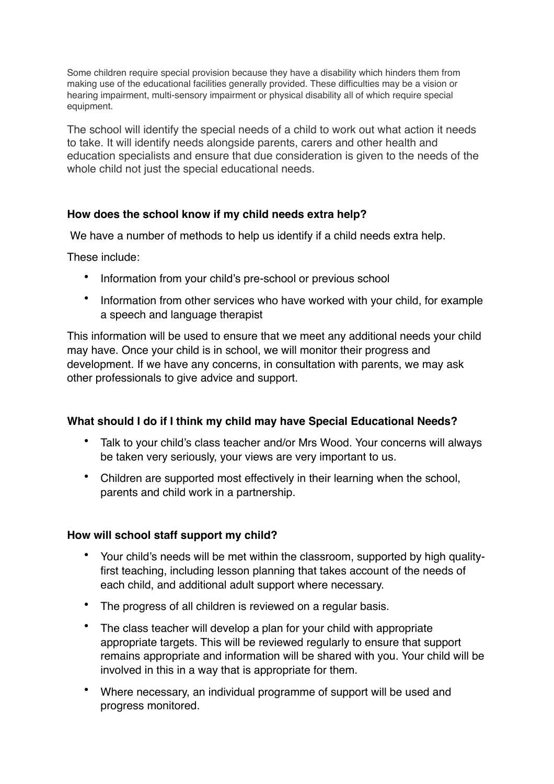Some children require special provision because they have a disability which hinders them from making use of the educational facilities generally provided. These difficulties may be a vision or hearing impairment, multi-sensory impairment or physical disability all of which require special equipment.

The school will identify the special needs of a child to work out what action it needs to take. It will identify needs alongside parents, carers and other health and education specialists and ensure that due consideration is given to the needs of the whole child not just the special educational needs.

# **How does the school know if my child needs extra help?**

We have a number of methods to help us identify if a child needs extra help.

These include:

- Information from your child's pre-school or previous school
- Information from other services who have worked with your child, for example a speech and language therapist

This information will be used to ensure that we meet any additional needs your child may have. Once your child is in school, we will monitor their progress and development. If we have any concerns, in consultation with parents, we may ask other professionals to give advice and support.

#### **What should I do if I think my child may have Special Educational Needs?**

- Talk to your child's class teacher and/or Mrs Wood. Your concerns will always be taken very seriously, your views are very important to us.
- Children are supported most effectively in their learning when the school, parents and child work in a partnership.

#### **How will school staff support my child?**

- Your child's needs will be met within the classroom, supported by high qualityfirst teaching, including lesson planning that takes account of the needs of each child, and additional adult support where necessary.
- The progress of all children is reviewed on a regular basis.
- The class teacher will develop a plan for your child with appropriate appropriate targets. This will be reviewed regularly to ensure that support remains appropriate and information will be shared with you. Your child will be involved in this in a way that is appropriate for them.
- Where necessary, an individual programme of support will be used and progress monitored.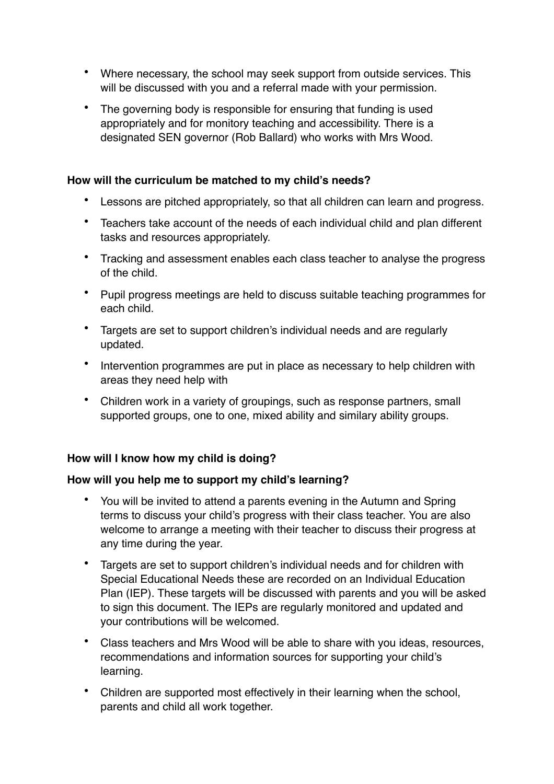- Where necessary, the school may seek support from outside services. This will be discussed with you and a referral made with your permission.
- The governing body is responsible for ensuring that funding is used appropriately and for monitory teaching and accessibility. There is a designated SEN governor (Rob Ballard) who works with Mrs Wood.

## **How will the curriculum be matched to my child's needs?**

- Lessons are pitched appropriately, so that all children can learn and progress.
- Teachers take account of the needs of each individual child and plan different tasks and resources appropriately.
- Tracking and assessment enables each class teacher to analyse the progress of the child.
- Pupil progress meetings are held to discuss suitable teaching programmes for each child.
- Targets are set to support children's individual needs and are regularly updated.
- Intervention programmes are put in place as necessary to help children with areas they need help with
- Children work in a variety of groupings, such as response partners, small supported groups, one to one, mixed ability and similary ability groups.

# **How will I know how my child is doing?**

# **How will you help me to support my child's learning?**

- You will be invited to attend a parents evening in the Autumn and Spring terms to discuss your child's progress with their class teacher. You are also welcome to arrange a meeting with their teacher to discuss their progress at any time during the year.
- Targets are set to support children's individual needs and for children with Special Educational Needs these are recorded on an Individual Education Plan (IEP). These targets will be discussed with parents and you will be asked to sign this document. The IEPs are regularly monitored and updated and your contributions will be welcomed.
- Class teachers and Mrs Wood will be able to share with you ideas, resources, recommendations and information sources for supporting your child's learning.
- Children are supported most effectively in their learning when the school, parents and child all work together.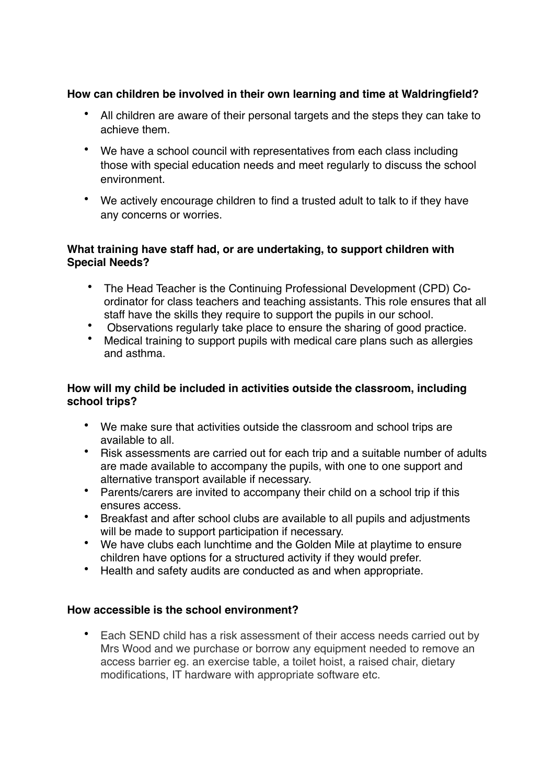# **How can children be involved in their own learning and time at Waldringfield?**

- All children are aware of their personal targets and the steps they can take to achieve them.
- We have a school council with representatives from each class including those with special education needs and meet regularly to discuss the school environment.
- We actively encourage children to find a trusted adult to talk to if they have any concerns or worries.

## **What training have staff had, or are undertaking, to support children with Special Needs?**

- The Head Teacher is the Continuing Professional Development (CPD) Coordinator for class teachers and teaching assistants. This role ensures that all staff have the skills they require to support the pupils in our school.
- Observations regularly take place to ensure the sharing of good practice.
- Medical training to support pupils with medical care plans such as allergies and asthma.

## **How will my child be included in activities outside the classroom, including school trips?**

- We make sure that activities outside the classroom and school trips are available to all.
- Risk assessments are carried out for each trip and a suitable number of adults are made available to accompany the pupils, with one to one support and alternative transport available if necessary.
- Parents/carers are invited to accompany their child on a school trip if this ensures access.
- Breakfast and after school clubs are available to all pupils and adjustments will be made to support participation if necessary.
- We have clubs each lunchtime and the Golden Mile at playtime to ensure children have options for a structured activity if they would prefer.
- Health and safety audits are conducted as and when appropriate.

#### **How accessible is the school environment?**

• Each SEND child has a risk assessment of their access needs carried out by Mrs Wood and we purchase or borrow any equipment needed to remove an access barrier eg. an exercise table, a toilet hoist, a raised chair, dietary modifications, IT hardware with appropriate software etc.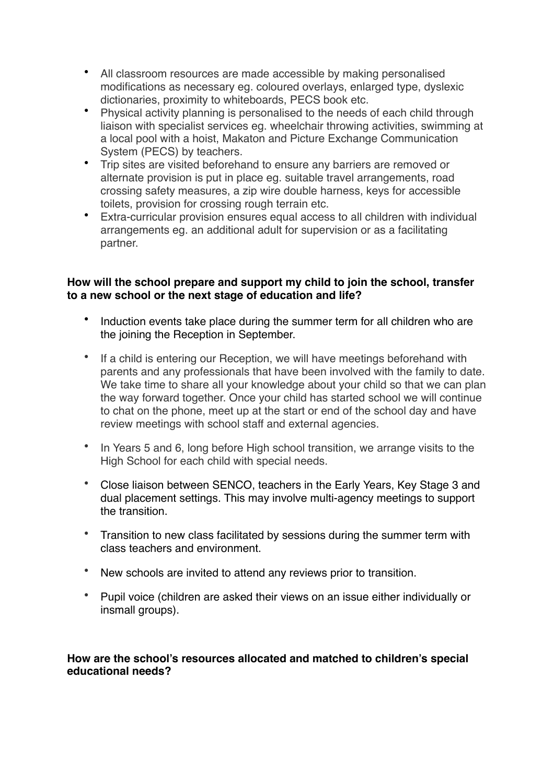- All classroom resources are made accessible by making personalised modifications as necessary eg. coloured overlays, enlarged type, dyslexic dictionaries, proximity to whiteboards, PECS book etc.
- Physical activity planning is personalised to the needs of each child through liaison with specialist services eg. wheelchair throwing activities, swimming at a local pool with a hoist, Makaton and Picture Exchange Communication System (PECS) by teachers.
- Trip sites are visited beforehand to ensure any barriers are removed or alternate provision is put in place eg. suitable travel arrangements, road crossing safety measures, a zip wire double harness, keys for accessible toilets, provision for crossing rough terrain etc.
- Extra-curricular provision ensures equal access to all children with individual arrangements eg. an additional adult for supervision or as a facilitating partner.

#### **How will the school prepare and support my child to join the school, transfer to a new school or the next stage of education and life?**

- Induction events take place during the summer term for all children who are the joining the Reception in September.
- If a child is entering our Reception, we will have meetings beforehand with parents and any professionals that have been involved with the family to date. We take time to share all your knowledge about your child so that we can plan the way forward together. Once your child has started school we will continue to chat on the phone, meet up at the start or end of the school day and have review meetings with school staff and external agencies.
- In Years 5 and 6, long before High school transition, we arrange visits to the High School for each child with special needs.
- Close liaison between SENCO, teachers in the Early Years, Key Stage 3 and dual placement settings. This may involve multi-agency meetings to support the transition.
- Transition to new class facilitated by sessions during the summer term with class teachers and environment.
- New schools are invited to attend any reviews prior to transition.
- Pupil voice (children are asked their views on an issue either individually or insmall groups).

#### **How are the school's resources allocated and matched to children's special educational needs?**